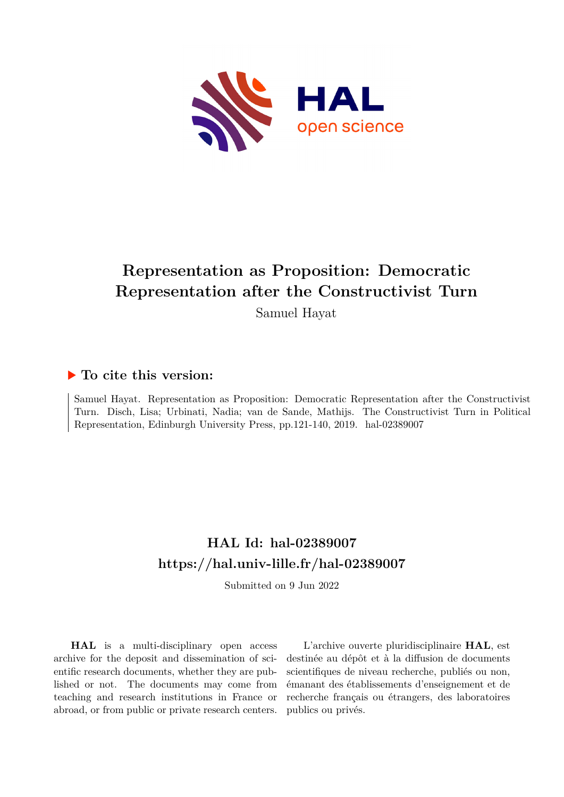

# **Representation as Proposition: Democratic Representation after the Constructivist Turn**

Samuel Hayat

## **To cite this version:**

Samuel Hayat. Representation as Proposition: Democratic Representation after the Constructivist Turn. Disch, Lisa; Urbinati, Nadia; van de Sande, Mathijs. The Constructivist Turn in Political Representation, Edinburgh University Press, pp.121-140, 2019. hal-02389007

## **HAL Id: hal-02389007 <https://hal.univ-lille.fr/hal-02389007>**

Submitted on 9 Jun 2022

**HAL** is a multi-disciplinary open access archive for the deposit and dissemination of scientific research documents, whether they are published or not. The documents may come from teaching and research institutions in France or abroad, or from public or private research centers.

L'archive ouverte pluridisciplinaire **HAL**, est destinée au dépôt et à la diffusion de documents scientifiques de niveau recherche, publiés ou non, émanant des établissements d'enseignement et de recherche français ou étrangers, des laboratoires publics ou privés.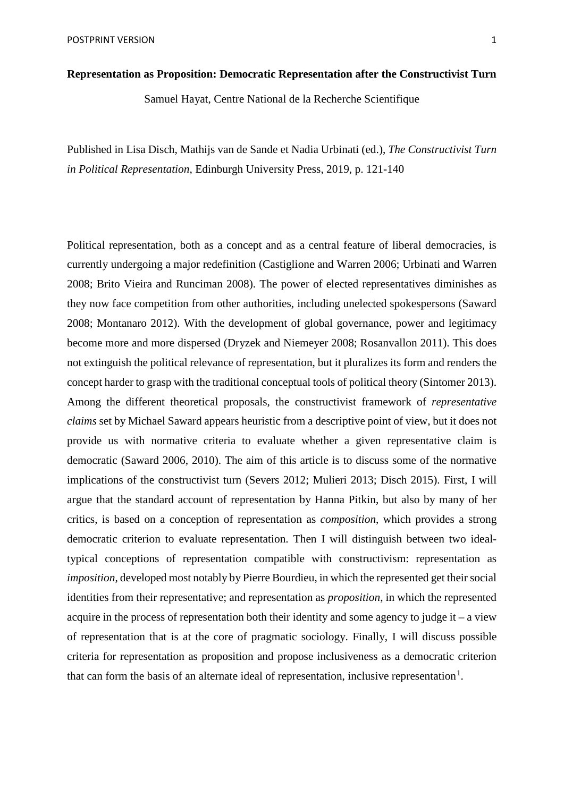### **Representation as Proposition: Democratic Representation after the Constructivist Turn**

Samuel Hayat, Centre National de la Recherche Scientifique

Published in Lisa Disch, Mathijs van de Sande et Nadia Urbinati (ed.), *The Constructivist Turn in Political Representation*, Edinburgh University Press, 2019, p. 121-140

Political representation, both as a concept and as a central feature of liberal democracies, is currently undergoing a major redefinition (Castiglione and Warren 2006; Urbinati and Warren 2008; Brito Vieira and Runciman 2008). The power of elected representatives diminishes as they now face competition from other authorities, including unelected spokespersons (Saward 2008; Montanaro 2012). With the development of global governance, power and legitimacy become more and more dispersed (Dryzek and Niemeyer 2008; Rosanvallon 2011). This does not extinguish the political relevance of representation, but it pluralizes its form and renders the concept harder to grasp with the traditional conceptual tools of political theory (Sintomer 2013). Among the different theoretical proposals, the constructivist framework of *representative claims* set by Michael Saward appears heuristic from a descriptive point of view, but it does not provide us with normative criteria to evaluate whether a given representative claim is democratic (Saward 2006, 2010). The aim of this article is to discuss some of the normative implications of the constructivist turn (Severs 2012; Mulieri 2013; Disch 2015). First, I will argue that the standard account of representation by Hanna Pitkin, but also by many of her critics, is based on a conception of representation as *composition*, which provides a strong democratic criterion to evaluate representation. Then I will distinguish between two idealtypical conceptions of representation compatible with constructivism: representation as *imposition*, developed most notably by Pierre Bourdieu, in which the represented get their social identities from their representative; and representation as *proposition*, in which the represented acquire in the process of representation both their identity and some agency to judge it – a view of representation that is at the core of pragmatic sociology. Finally, I will discuss possible criteria for representation as proposition and propose inclusiveness as a democratic criterion that can form the basis of an alternate ideal of representation, inclusive representation<sup>[1](#page-20-0)</sup>.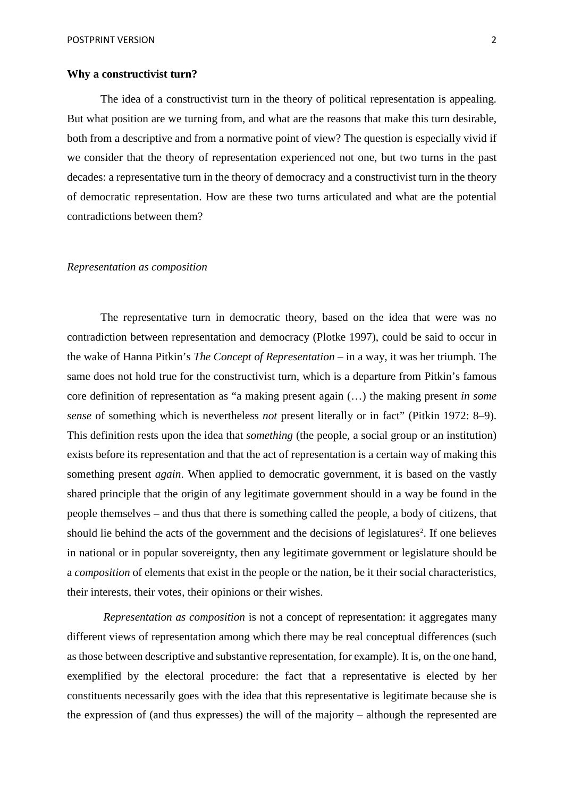#### **Why a constructivist turn?**

The idea of a constructivist turn in the theory of political representation is appealing. But what position are we turning from, and what are the reasons that make this turn desirable, both from a descriptive and from a normative point of view? The question is especially vivid if we consider that the theory of representation experienced not one, but two turns in the past decades: a representative turn in the theory of democracy and a constructivist turn in the theory of democratic representation. How are these two turns articulated and what are the potential contradictions between them?

#### *Representation as composition*

The representative turn in democratic theory, based on the idea that were was no contradiction between representation and democracy (Plotke 1997), could be said to occur in the wake of Hanna Pitkin's *The Concept of Representation* – in a way, it was her triumph. The same does not hold true for the constructivist turn, which is a departure from Pitkin's famous core definition of representation as "a making present again (…) the making present *in some sense* of something which is nevertheless *not* present literally or in fact" (Pitkin 1972: 8–9). This definition rests upon the idea that *something* (the people, a social group or an institution) exists before its representation and that the act of representation is a certain way of making this something present *again*. When applied to democratic government, it is based on the vastly shared principle that the origin of any legitimate government should in a way be found in the people themselves – and thus that there is something called the people, a body of citizens, that should lie behind the acts of the government and the decisions of legislatures<sup>[2](#page-21-0)</sup>. If one believes in national or in popular sovereignty, then any legitimate government or legislature should be a *composition* of elements that exist in the people or the nation, be it their social characteristics, their interests, their votes, their opinions or their wishes.

*Representation as composition* is not a concept of representation: it aggregates many different views of representation among which there may be real conceptual differences (such as those between descriptive and substantive representation, for example). It is, on the one hand, exemplified by the electoral procedure: the fact that a representative is elected by her constituents necessarily goes with the idea that this representative is legitimate because she is the expression of (and thus expresses) the will of the majority – although the represented are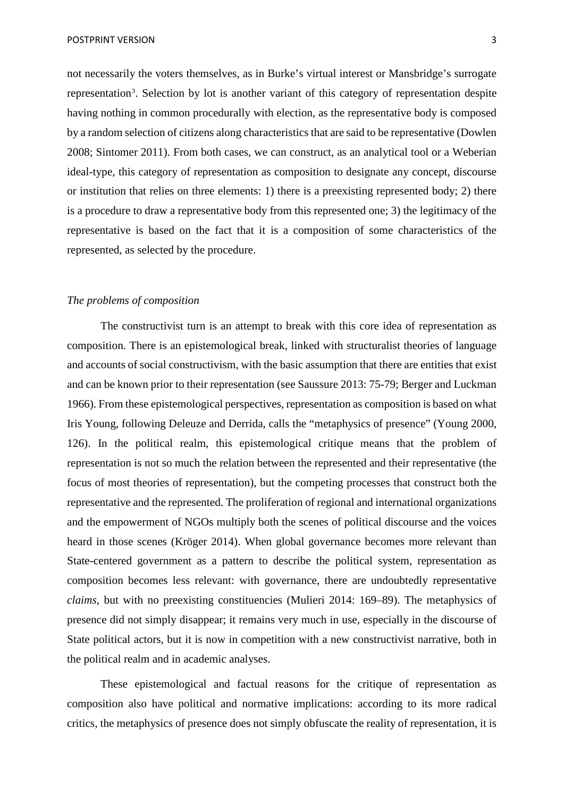not necessarily the voters themselves, as in Burke's virtual interest or Mansbridge's surrogate representation<sup>[3](#page-21-1)</sup>. Selection by lot is another variant of this category of representation despite having nothing in common procedurally with election, as the representative body is composed by a random selection of citizens along characteristics that are said to be representative (Dowlen 2008; Sintomer 2011). From both cases, we can construct, as an analytical tool or a Weberian ideal-type, this category of representation as composition to designate any concept, discourse or institution that relies on three elements: 1) there is a preexisting represented body; 2) there is a procedure to draw a representative body from this represented one; 3) the legitimacy of the representative is based on the fact that it is a composition of some characteristics of the represented, as selected by the procedure.

#### *The problems of composition*

The constructivist turn is an attempt to break with this core idea of representation as composition. There is an epistemological break, linked with structuralist theories of language and accounts of social constructivism, with the basic assumption that there are entities that exist and can be known prior to their representation (see Saussure 2013: 75-79; Berger and Luckman 1966). From these epistemological perspectives, representation as composition is based on what Iris Young, following Deleuze and Derrida, calls the "metaphysics of presence" (Young 2000, 126). In the political realm, this epistemological critique means that the problem of representation is not so much the relation between the represented and their representative (the focus of most theories of representation), but the competing processes that construct both the representative and the represented. The proliferation of regional and international organizations and the empowerment of NGOs multiply both the scenes of political discourse and the voices heard in those scenes (Kröger 2014). When global governance becomes more relevant than State-centered government as a pattern to describe the political system, representation as composition becomes less relevant: with governance, there are undoubtedly representative *claims*, but with no preexisting constituencies (Mulieri 2014: 169–89). The metaphysics of presence did not simply disappear; it remains very much in use, especially in the discourse of State political actors, but it is now in competition with a new constructivist narrative, both in the political realm and in academic analyses.

These epistemological and factual reasons for the critique of representation as composition also have political and normative implications: according to its more radical critics, the metaphysics of presence does not simply obfuscate the reality of representation, it is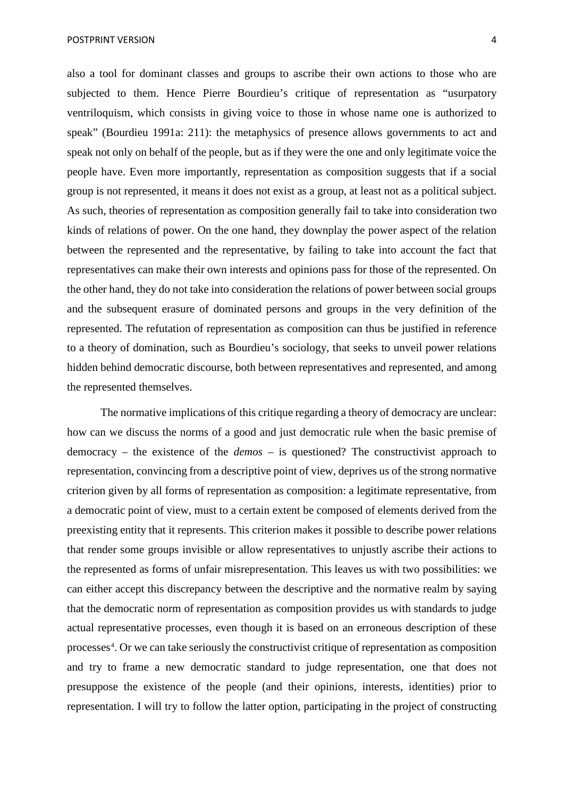POSTPRINT VERSION 4

also a tool for dominant classes and groups to ascribe their own actions to those who are subjected to them. Hence Pierre Bourdieu's critique of representation as "usurpatory ventriloquism, which consists in giving voice to those in whose name one is authorized to speak" (Bourdieu 1991a: 211): the metaphysics of presence allows governments to act and speak not only on behalf of the people, but as if they were the one and only legitimate voice the people have. Even more importantly, representation as composition suggests that if a social group is not represented, it means it does not exist as a group, at least not as a political subject. As such, theories of representation as composition generally fail to take into consideration two kinds of relations of power. On the one hand, they downplay the power aspect of the relation between the represented and the representative, by failing to take into account the fact that representatives can make their own interests and opinions pass for those of the represented. On the other hand, they do not take into consideration the relations of power between social groups and the subsequent erasure of dominated persons and groups in the very definition of the represented. The refutation of representation as composition can thus be justified in reference to a theory of domination, such as Bourdieu's sociology, that seeks to unveil power relations hidden behind democratic discourse, both between representatives and represented, and among the represented themselves.

The normative implications of this critique regarding a theory of democracy are unclear: how can we discuss the norms of a good and just democratic rule when the basic premise of democracy – the existence of the *demos* – is questioned? The constructivist approach to representation, convincing from a descriptive point of view, deprives us of the strong normative criterion given by all forms of representation as composition: a legitimate representative, from a democratic point of view, must to a certain extent be composed of elements derived from the preexisting entity that it represents. This criterion makes it possible to describe power relations that render some groups invisible or allow representatives to unjustly ascribe their actions to the represented as forms of unfair misrepresentation. This leaves us with two possibilities: we can either accept this discrepancy between the descriptive and the normative realm by saying that the democratic norm of representation as composition provides us with standards to judge actual representative processes, even though it is based on an erroneous description of these processes<sup>[4](#page-21-2)</sup>. Or we can take seriously the constructivist critique of representation as composition and try to frame a new democratic standard to judge representation, one that does not presuppose the existence of the people (and their opinions, interests, identities) prior to representation. I will try to follow the latter option, participating in the project of constructing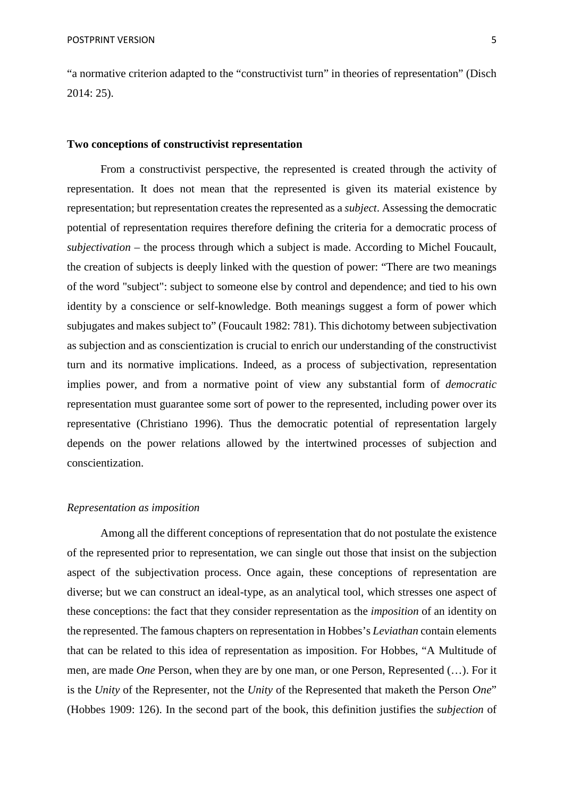"a normative criterion adapted to the "constructivist turn" in theories of representation" (Disch 2014: 25).

#### **Two conceptions of constructivist representation**

From a constructivist perspective, the represented is created through the activity of representation. It does not mean that the represented is given its material existence by representation; but representation creates the represented as a *subject*. Assessing the democratic potential of representation requires therefore defining the criteria for a democratic process of *subjectivation* – the process through which a subject is made. According to Michel Foucault, the creation of subjects is deeply linked with the question of power: "There are two meanings of the word "subject": subject to someone else by control and dependence; and tied to his own identity by a conscience or self-knowledge. Both meanings suggest a form of power which subjugates and makes subject to" (Foucault 1982: 781). This dichotomy between subjectivation as subjection and as conscientization is crucial to enrich our understanding of the constructivist turn and its normative implications. Indeed, as a process of subjectivation, representation implies power, and from a normative point of view any substantial form of *democratic* representation must guarantee some sort of power to the represented, including power over its representative (Christiano 1996). Thus the democratic potential of representation largely depends on the power relations allowed by the intertwined processes of subjection and conscientization.

#### *Representation as imposition*

Among all the different conceptions of representation that do not postulate the existence of the represented prior to representation, we can single out those that insist on the subjection aspect of the subjectivation process. Once again, these conceptions of representation are diverse; but we can construct an ideal-type, as an analytical tool, which stresses one aspect of these conceptions: the fact that they consider representation as the *imposition* of an identity on the represented. The famous chapters on representation in Hobbes's *Leviathan* contain elements that can be related to this idea of representation as imposition. For Hobbes, "A Multitude of men, are made *One* Person, when they are by one man, or one Person, Represented (…). For it is the *Unity* of the Representer, not the *Unity* of the Represented that maketh the Person *One*" (Hobbes 1909: 126). In the second part of the book, this definition justifies the *subjection* of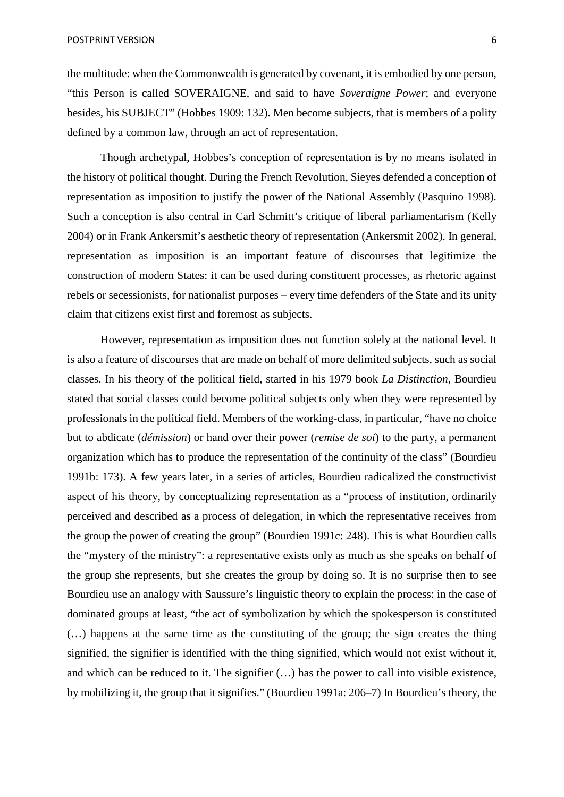the multitude: when the Commonwealth is generated by covenant, it is embodied by one person, "this Person is called SOVERAIGNE, and said to have *Soveraigne Power*; and everyone besides, his SUBJECT" (Hobbes 1909: 132). Men become subjects, that is members of a polity defined by a common law, through an act of representation.

Though archetypal, Hobbes's conception of representation is by no means isolated in the history of political thought. During the French Revolution, Sieyes defended a conception of representation as imposition to justify the power of the National Assembly (Pasquino 1998). Such a conception is also central in Carl Schmitt's critique of liberal parliamentarism (Kelly 2004) or in Frank Ankersmit's aesthetic theory of representation (Ankersmit 2002). In general, representation as imposition is an important feature of discourses that legitimize the construction of modern States: it can be used during constituent processes, as rhetoric against rebels or secessionists, for nationalist purposes – every time defenders of the State and its unity claim that citizens exist first and foremost as subjects.

However, representation as imposition does not function solely at the national level. It is also a feature of discourses that are made on behalf of more delimited subjects, such as social classes. In his theory of the political field, started in his 1979 book *La Distinction*, Bourdieu stated that social classes could become political subjects only when they were represented by professionals in the political field. Members of the working-class, in particular, "have no choice but to abdicate (*démission*) or hand over their power (*remise de soi*) to the party, a permanent organization which has to produce the representation of the continuity of the class" (Bourdieu 1991b: 173). A few years later, in a series of articles, Bourdieu radicalized the constructivist aspect of his theory, by conceptualizing representation as a "process of institution, ordinarily perceived and described as a process of delegation, in which the representative receives from the group the power of creating the group" (Bourdieu 1991c: 248). This is what Bourdieu calls the "mystery of the ministry": a representative exists only as much as she speaks on behalf of the group she represents, but she creates the group by doing so. It is no surprise then to see Bourdieu use an analogy with Saussure's linguistic theory to explain the process: in the case of dominated groups at least, "the act of symbolization by which the spokesperson is constituted (…) happens at the same time as the constituting of the group; the sign creates the thing signified, the signifier is identified with the thing signified, which would not exist without it, and which can be reduced to it. The signifier (…) has the power to call into visible existence, by mobilizing it, the group that it signifies." (Bourdieu 1991a: 206–7) In Bourdieu's theory, the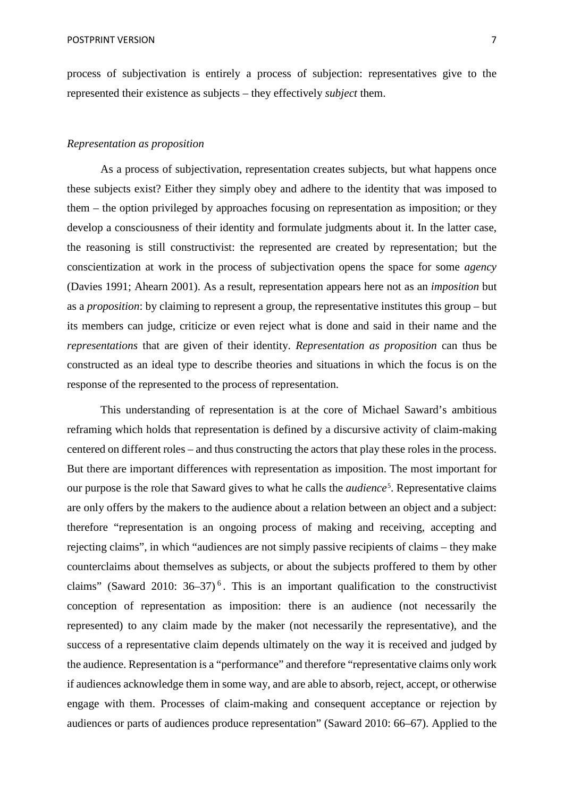process of subjectivation is entirely a process of subjection: representatives give to the represented their existence as subjects – they effectively *subject* them.

#### *Representation as proposition*

As a process of subjectivation, representation creates subjects, but what happens once these subjects exist? Either they simply obey and adhere to the identity that was imposed to them – the option privileged by approaches focusing on representation as imposition; or they develop a consciousness of their identity and formulate judgments about it. In the latter case, the reasoning is still constructivist: the represented are created by representation; but the conscientization at work in the process of subjectivation opens the space for some *agency* (Davies 1991; Ahearn 2001). As a result, representation appears here not as an *imposition* but as a *proposition*: by claiming to represent a group, the representative institutes this group – but its members can judge, criticize or even reject what is done and said in their name and the *representations* that are given of their identity. *Representation as proposition* can thus be constructed as an ideal type to describe theories and situations in which the focus is on the response of the represented to the process of representation.

This understanding of representation is at the core of Michael Saward's ambitious reframing which holds that representation is defined by a discursive activity of claim-making centered on different roles – and thus constructing the actors that play these roles in the process. But there are important differences with representation as imposition. The most important for our purpose is the role that Saward gives to what he calls the *audience*[5](#page-21-3) . Representative claims are only offers by the makers to the audience about a relation between an object and a subject: therefore "representation is an ongoing process of making and receiving, accepting and rejecting claims", in which "audiences are not simply passive recipients of claims – they make counterclaims about themselves as subjects, or about the subjects proffered to them by other claims" (Saward 2010:  $36-37$  $36-37$  $36-37$ )<sup>6</sup>. This is an important qualification to the constructivist conception of representation as imposition: there is an audience (not necessarily the represented) to any claim made by the maker (not necessarily the representative), and the success of a representative claim depends ultimately on the way it is received and judged by the audience. Representation is a "performance" and therefore "representative claims only work if audiences acknowledge them in some way, and are able to absorb, reject, accept, or otherwise engage with them. Processes of claim-making and consequent acceptance or rejection by audiences or parts of audiences produce representation" (Saward 2010: 66–67). Applied to the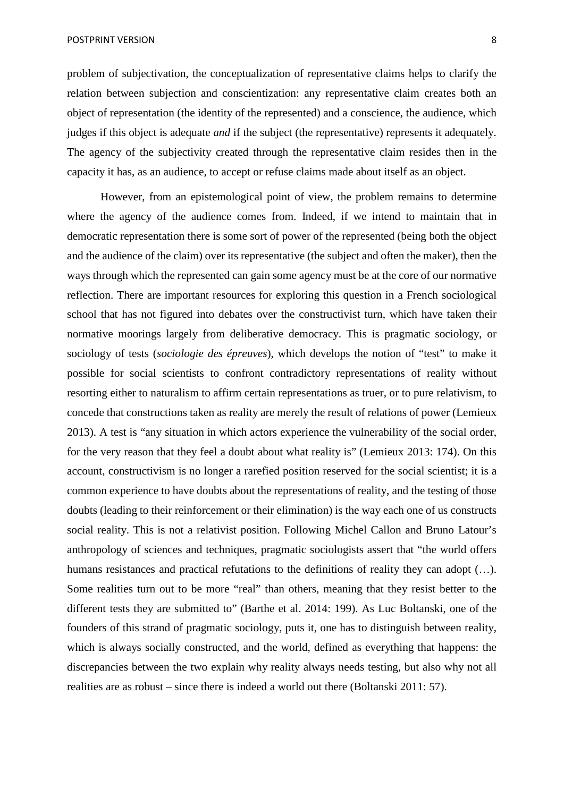POSTPRINT VERSION 8

problem of subjectivation, the conceptualization of representative claims helps to clarify the relation between subjection and conscientization: any representative claim creates both an object of representation (the identity of the represented) and a conscience, the audience, which judges if this object is adequate *and* if the subject (the representative) represents it adequately. The agency of the subjectivity created through the representative claim resides then in the capacity it has, as an audience, to accept or refuse claims made about itself as an object.

However, from an epistemological point of view, the problem remains to determine where the agency of the audience comes from. Indeed, if we intend to maintain that in democratic representation there is some sort of power of the represented (being both the object and the audience of the claim) over its representative (the subject and often the maker), then the ways through which the represented can gain some agency must be at the core of our normative reflection. There are important resources for exploring this question in a French sociological school that has not figured into debates over the constructivist turn, which have taken their normative moorings largely from deliberative democracy. This is pragmatic sociology, or sociology of tests (*sociologie des épreuves*), which develops the notion of "test" to make it possible for social scientists to confront contradictory representations of reality without resorting either to naturalism to affirm certain representations as truer, or to pure relativism, to concede that constructions taken as reality are merely the result of relations of power (Lemieux 2013). A test is "any situation in which actors experience the vulnerability of the social order, for the very reason that they feel a doubt about what reality is" (Lemieux 2013: 174). On this account, constructivism is no longer a rarefied position reserved for the social scientist; it is a common experience to have doubts about the representations of reality, and the testing of those doubts (leading to their reinforcement or their elimination) is the way each one of us constructs social reality. This is not a relativist position. Following Michel Callon and Bruno Latour's anthropology of sciences and techniques, pragmatic sociologists assert that "the world offers humans resistances and practical refutations to the definitions of reality they can adopt (...). Some realities turn out to be more "real" than others, meaning that they resist better to the different tests they are submitted to" (Barthe et al. 2014: 199). As Luc Boltanski, one of the founders of this strand of pragmatic sociology, puts it, one has to distinguish between reality, which is always socially constructed, and the world, defined as everything that happens: the discrepancies between the two explain why reality always needs testing, but also why not all realities are as robust – since there is indeed a world out there (Boltanski 2011: 57).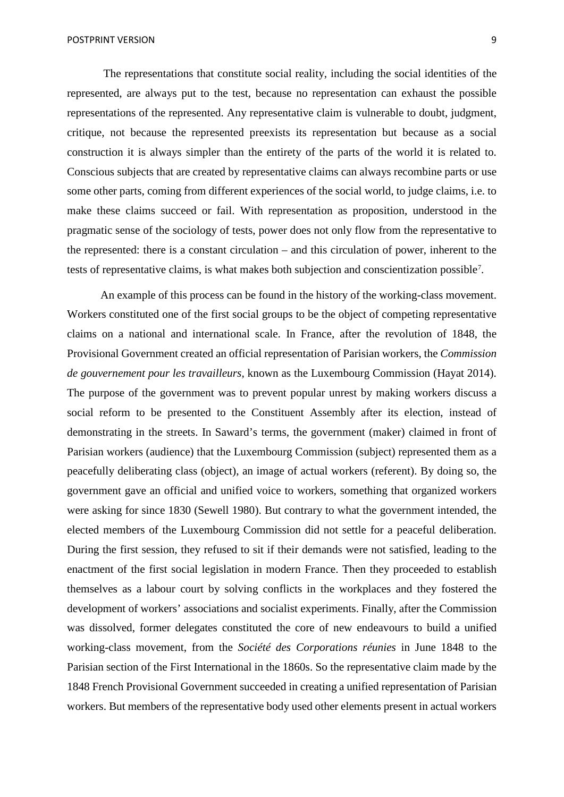The representations that constitute social reality, including the social identities of the represented, are always put to the test, because no representation can exhaust the possible representations of the represented. Any representative claim is vulnerable to doubt, judgment, critique, not because the represented preexists its representation but because as a social construction it is always simpler than the entirety of the parts of the world it is related to. Conscious subjects that are created by representative claims can always recombine parts or use some other parts, coming from different experiences of the social world, to judge claims, i.e. to make these claims succeed or fail. With representation as proposition, understood in the pragmatic sense of the sociology of tests, power does not only flow from the representative to the represented: there is a constant circulation – and this circulation of power, inherent to the tests of representative claims, is what makes both subjection and conscientization possible<sup>[7](#page-21-5)</sup>.

An example of this process can be found in the history of the working-class movement. Workers constituted one of the first social groups to be the object of competing representative claims on a national and international scale. In France, after the revolution of 1848, the Provisional Government created an official representation of Parisian workers, the *Commission de gouvernement pour les travailleurs*, known as the Luxembourg Commission (Hayat 2014). The purpose of the government was to prevent popular unrest by making workers discuss a social reform to be presented to the Constituent Assembly after its election, instead of demonstrating in the streets. In Saward's terms, the government (maker) claimed in front of Parisian workers (audience) that the Luxembourg Commission (subject) represented them as a peacefully deliberating class (object), an image of actual workers (referent). By doing so, the government gave an official and unified voice to workers, something that organized workers were asking for since 1830 (Sewell 1980). But contrary to what the government intended, the elected members of the Luxembourg Commission did not settle for a peaceful deliberation. During the first session, they refused to sit if their demands were not satisfied, leading to the enactment of the first social legislation in modern France. Then they proceeded to establish themselves as a labour court by solving conflicts in the workplaces and they fostered the development of workers' associations and socialist experiments. Finally, after the Commission was dissolved, former delegates constituted the core of new endeavours to build a unified working-class movement, from the *Société des Corporations réunies* in June 1848 to the Parisian section of the First International in the 1860s. So the representative claim made by the 1848 French Provisional Government succeeded in creating a unified representation of Parisian workers. But members of the representative body used other elements present in actual workers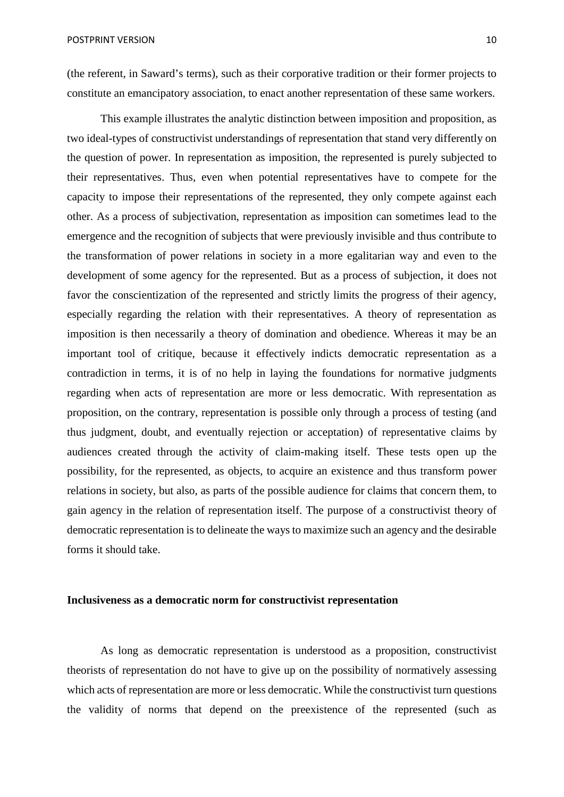(the referent, in Saward's terms), such as their corporative tradition or their former projects to constitute an emancipatory association, to enact another representation of these same workers.

This example illustrates the analytic distinction between imposition and proposition, as two ideal-types of constructivist understandings of representation that stand very differently on the question of power. In representation as imposition, the represented is purely subjected to their representatives. Thus, even when potential representatives have to compete for the capacity to impose their representations of the represented, they only compete against each other. As a process of subjectivation, representation as imposition can sometimes lead to the emergence and the recognition of subjects that were previously invisible and thus contribute to the transformation of power relations in society in a more egalitarian way and even to the development of some agency for the represented. But as a process of subjection, it does not favor the conscientization of the represented and strictly limits the progress of their agency, especially regarding the relation with their representatives. A theory of representation as imposition is then necessarily a theory of domination and obedience. Whereas it may be an important tool of critique, because it effectively indicts democratic representation as a contradiction in terms, it is of no help in laying the foundations for normative judgments regarding when acts of representation are more or less democratic. With representation as proposition, on the contrary, representation is possible only through a process of testing (and thus judgment, doubt, and eventually rejection or acceptation) of representative claims by audiences created through the activity of claim-making itself. These tests open up the possibility, for the represented, as objects, to acquire an existence and thus transform power relations in society, but also, as parts of the possible audience for claims that concern them, to gain agency in the relation of representation itself. The purpose of a constructivist theory of democratic representation is to delineate the ways to maximize such an agency and the desirable forms it should take.

#### **Inclusiveness as a democratic norm for constructivist representation**

As long as democratic representation is understood as a proposition, constructivist theorists of representation do not have to give up on the possibility of normatively assessing which acts of representation are more or less democratic. While the constructivist turn questions the validity of norms that depend on the preexistence of the represented (such as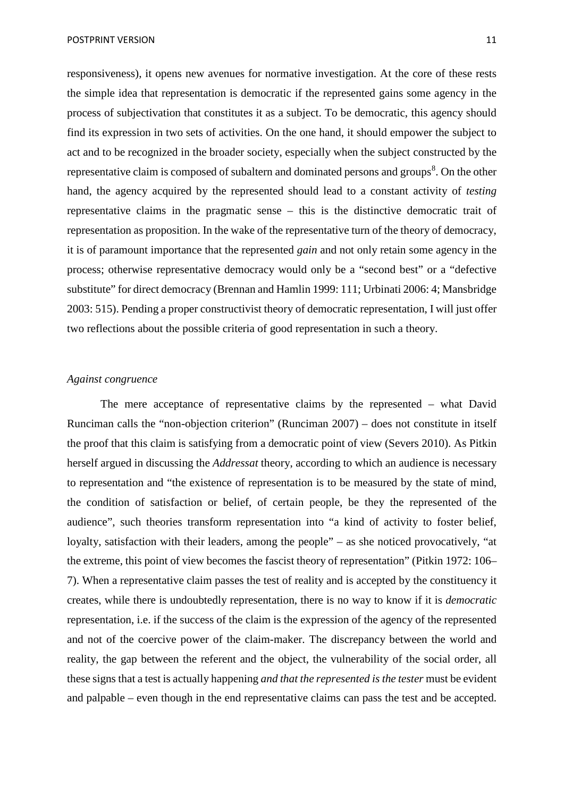responsiveness), it opens new avenues for normative investigation. At the core of these rests the simple idea that representation is democratic if the represented gains some agency in the process of subjectivation that constitutes it as a subject. To be democratic, this agency should find its expression in two sets of activities. On the one hand, it should empower the subject to act and to be recognized in the broader society, especially when the subject constructed by the representative claim is composed of subaltern and dominated persons and groups<sup>[8](#page-21-6)</sup>. On the other hand, the agency acquired by the represented should lead to a constant activity of *testing* representative claims in the pragmatic sense – this is the distinctive democratic trait of representation as proposition. In the wake of the representative turn of the theory of democracy, it is of paramount importance that the represented *gain* and not only retain some agency in the process; otherwise representative democracy would only be a "second best" or a "defective substitute" for direct democracy (Brennan and Hamlin 1999: 111; Urbinati 2006: 4; Mansbridge 2003: 515). Pending a proper constructivist theory of democratic representation, I will just offer two reflections about the possible criteria of good representation in such a theory.

#### *Against congruence*

The mere acceptance of representative claims by the represented – what David Runciman calls the "non-objection criterion" (Runciman 2007) – does not constitute in itself the proof that this claim is satisfying from a democratic point of view (Severs 2010). As Pitkin herself argued in discussing the *Addressat* theory, according to which an audience is necessary to representation and "the existence of representation is to be measured by the state of mind, the condition of satisfaction or belief, of certain people, be they the represented of the audience", such theories transform representation into "a kind of activity to foster belief, loyalty, satisfaction with their leaders, among the people" – as she noticed provocatively, "at the extreme, this point of view becomes the fascist theory of representation" (Pitkin 1972: 106– 7). When a representative claim passes the test of reality and is accepted by the constituency it creates, while there is undoubtedly representation, there is no way to know if it is *democratic* representation, i.e. if the success of the claim is the expression of the agency of the represented and not of the coercive power of the claim-maker. The discrepancy between the world and reality, the gap between the referent and the object, the vulnerability of the social order, all these signs that a test is actually happening *and that the represented is the tester* must be evident and palpable – even though in the end representative claims can pass the test and be accepted.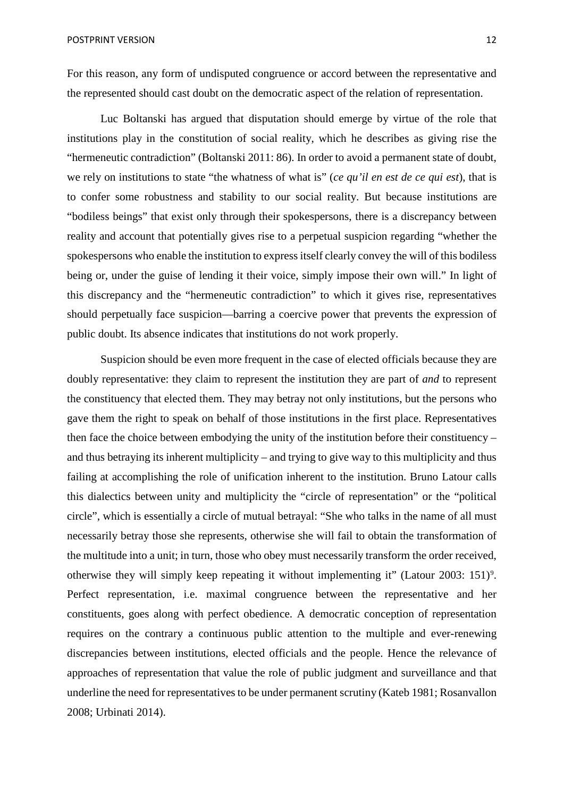For this reason, any form of undisputed congruence or accord between the representative and the represented should cast doubt on the democratic aspect of the relation of representation.

Luc Boltanski has argued that disputation should emerge by virtue of the role that institutions play in the constitution of social reality, which he describes as giving rise the "hermeneutic contradiction" (Boltanski 2011: 86). In order to avoid a permanent state of doubt, we rely on institutions to state "the whatness of what is" (*ce qu'il en est de ce qui est*), that is to confer some robustness and stability to our social reality. But because institutions are "bodiless beings" that exist only through their spokespersons, there is a discrepancy between reality and account that potentially gives rise to a perpetual suspicion regarding "whether the spokespersons who enable the institution to express itself clearly convey the will of this bodiless being or, under the guise of lending it their voice, simply impose their own will." In light of this discrepancy and the "hermeneutic contradiction" to which it gives rise, representatives should perpetually face suspicion—barring a coercive power that prevents the expression of public doubt. Its absence indicates that institutions do not work properly.

Suspicion should be even more frequent in the case of elected officials because they are doubly representative: they claim to represent the institution they are part of *and* to represent the constituency that elected them. They may betray not only institutions, but the persons who gave them the right to speak on behalf of those institutions in the first place. Representatives then face the choice between embodying the unity of the institution before their constituency – and thus betraying its inherent multiplicity – and trying to give way to this multiplicity and thus failing at accomplishing the role of unification inherent to the institution. Bruno Latour calls this dialectics between unity and multiplicity the "circle of representation" or the "political circle", which is essentially a circle of mutual betrayal: "She who talks in the name of all must necessarily betray those she represents, otherwise she will fail to obtain the transformation of the multitude into a unit; in turn, those who obey must necessarily transform the order received, otherwise they will simply keep repeating it without implementing it" (Latour 2003: 151)<sup>[9](#page-21-7)</sup>. Perfect representation, i.e. maximal congruence between the representative and her constituents, goes along with perfect obedience. A democratic conception of representation requires on the contrary a continuous public attention to the multiple and ever-renewing discrepancies between institutions, elected officials and the people. Hence the relevance of approaches of representation that value the role of public judgment and surveillance and that underline the need for representatives to be under permanent scrutiny (Kateb 1981; Rosanvallon 2008; Urbinati 2014).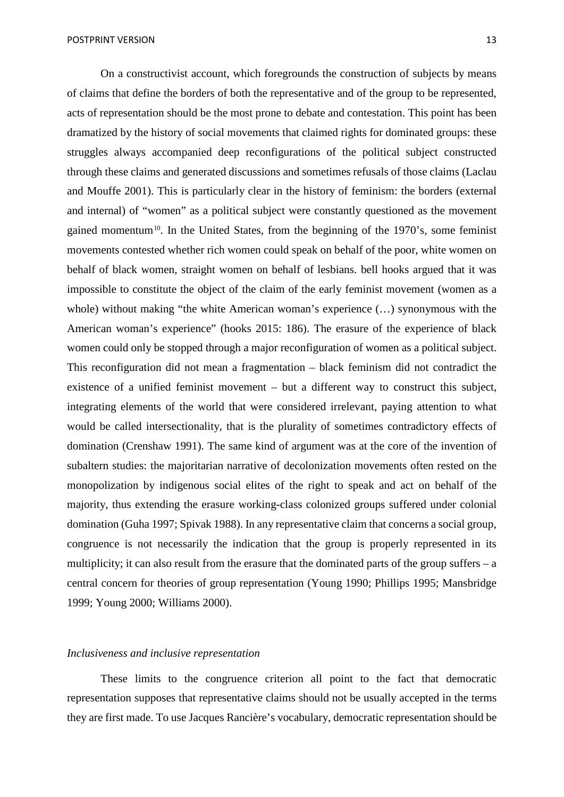On a constructivist account, which foregrounds the construction of subjects by means of claims that define the borders of both the representative and of the group to be represented, acts of representation should be the most prone to debate and contestation. This point has been dramatized by the history of social movements that claimed rights for dominated groups: these struggles always accompanied deep reconfigurations of the political subject constructed through these claims and generated discussions and sometimes refusals of those claims (Laclau and Mouffe 2001). This is particularly clear in the history of feminism: the borders (external and internal) of "women" as a political subject were constantly questioned as the movement gained momentum<sup>[10](#page-21-8)</sup>. In the United States, from the beginning of the 1970's, some feminist movements contested whether rich women could speak on behalf of the poor, white women on behalf of black women, straight women on behalf of lesbians. bell hooks argued that it was impossible to constitute the object of the claim of the early feminist movement (women as a whole) without making "the white American woman's experience (…) synonymous with the American woman's experience" (hooks 2015: 186). The erasure of the experience of black women could only be stopped through a major reconfiguration of women as a political subject. This reconfiguration did not mean a fragmentation – black feminism did not contradict the existence of a unified feminist movement – but a different way to construct this subject, integrating elements of the world that were considered irrelevant, paying attention to what would be called intersectionality, that is the plurality of sometimes contradictory effects of domination (Crenshaw 1991). The same kind of argument was at the core of the invention of subaltern studies: the majoritarian narrative of decolonization movements often rested on the monopolization by indigenous social elites of the right to speak and act on behalf of the majority, thus extending the erasure working-class colonized groups suffered under colonial domination (Guha 1997; Spivak 1988). In any representative claim that concerns a social group, congruence is not necessarily the indication that the group is properly represented in its multiplicity; it can also result from the erasure that the dominated parts of the group suffers  $-$  a central concern for theories of group representation (Young 1990; Phillips 1995; Mansbridge

1999; Young 2000; Williams 2000).

#### *Inclusiveness and inclusive representation*

These limits to the congruence criterion all point to the fact that democratic representation supposes that representative claims should not be usually accepted in the terms they are first made. To use Jacques Rancière's vocabulary, democratic representation should be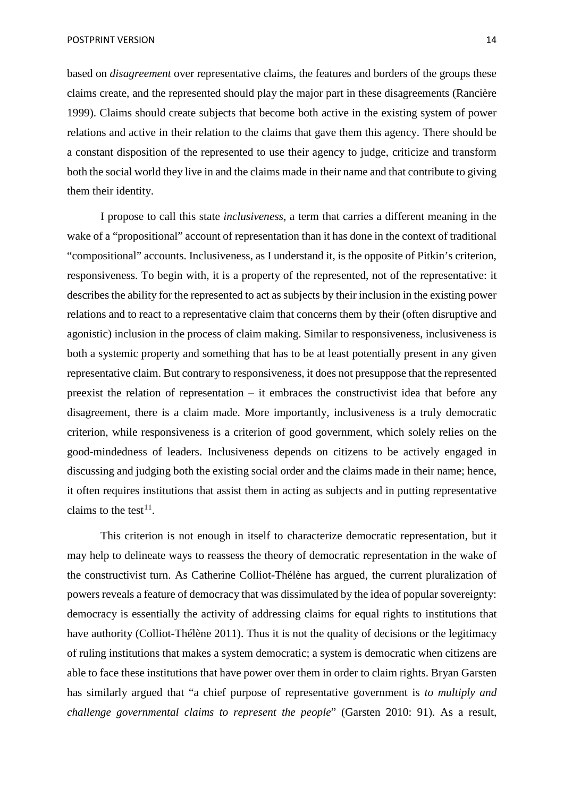POSTPRINT VERSION 14

based on *disagreement* over representative claims, the features and borders of the groups these claims create, and the represented should play the major part in these disagreements (Rancière 1999). Claims should create subjects that become both active in the existing system of power relations and active in their relation to the claims that gave them this agency. There should be a constant disposition of the represented to use their agency to judge, criticize and transform both the social world they live in and the claims made in their name and that contribute to giving them their identity.

I propose to call this state *inclusiveness*, a term that carries a different meaning in the wake of a "propositional" account of representation than it has done in the context of traditional "compositional" accounts. Inclusiveness, as I understand it, is the opposite of Pitkin's criterion, responsiveness. To begin with, it is a property of the represented, not of the representative: it describes the ability for the represented to act as subjects by their inclusion in the existing power relations and to react to a representative claim that concerns them by their (often disruptive and agonistic) inclusion in the process of claim making. Similar to responsiveness, inclusiveness is both a systemic property and something that has to be at least potentially present in any given representative claim. But contrary to responsiveness, it does not presuppose that the represented preexist the relation of representation – it embraces the constructivist idea that before any disagreement, there is a claim made. More importantly, inclusiveness is a truly democratic criterion, while responsiveness is a criterion of good government, which solely relies on the good-mindedness of leaders. Inclusiveness depends on citizens to be actively engaged in discussing and judging both the existing social order and the claims made in their name; hence, it often requires institutions that assist them in acting as subjects and in putting representative claims to the test<sup>[11](#page-21-9)</sup>.

This criterion is not enough in itself to characterize democratic representation, but it may help to delineate ways to reassess the theory of democratic representation in the wake of the constructivist turn. As Catherine Colliot-Thélène has argued, the current pluralization of powers reveals a feature of democracy that was dissimulated by the idea of popular sovereignty: democracy is essentially the activity of addressing claims for equal rights to institutions that have authority (Colliot-Thélène 2011). Thus it is not the quality of decisions or the legitimacy of ruling institutions that makes a system democratic; a system is democratic when citizens are able to face these institutions that have power over them in order to claim rights. Bryan Garsten has similarly argued that "a chief purpose of representative government is *to multiply and challenge governmental claims to represent the people*" (Garsten 2010: 91). As a result,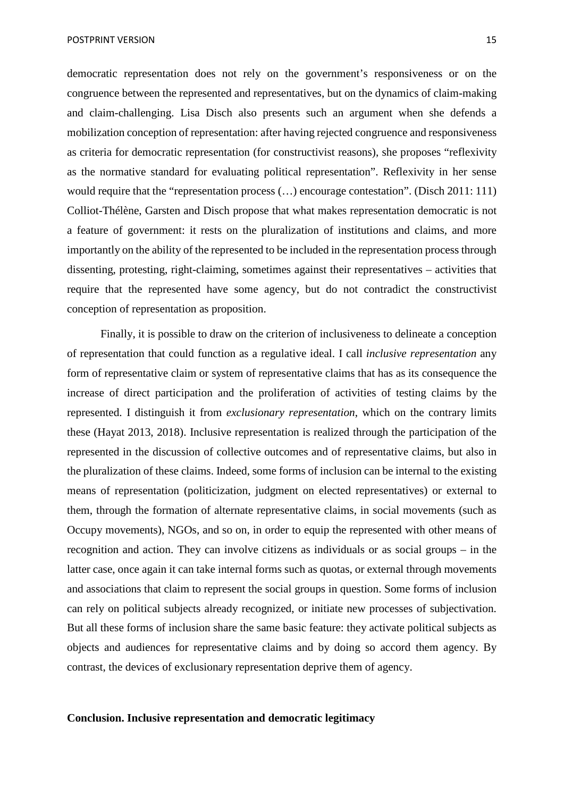POSTPRINT VERSION 15

democratic representation does not rely on the government's responsiveness or on the congruence between the represented and representatives, but on the dynamics of claim-making and claim-challenging. Lisa Disch also presents such an argument when she defends a mobilization conception of representation: after having rejected congruence and responsiveness as criteria for democratic representation (for constructivist reasons), she proposes "reflexivity as the normative standard for evaluating political representation". Reflexivity in her sense would require that the "representation process (…) encourage contestation". (Disch 2011: 111) Colliot-Thélène, Garsten and Disch propose that what makes representation democratic is not a feature of government: it rests on the pluralization of institutions and claims, and more importantly on the ability of the represented to be included in the representation process through dissenting, protesting, right-claiming, sometimes against their representatives – activities that require that the represented have some agency, but do not contradict the constructivist conception of representation as proposition.

Finally, it is possible to draw on the criterion of inclusiveness to delineate a conception of representation that could function as a regulative ideal. I call *inclusive representation* any form of representative claim or system of representative claims that has as its consequence the increase of direct participation and the proliferation of activities of testing claims by the represented. I distinguish it from *exclusionary representation*, which on the contrary limits these (Hayat 2013, 2018). Inclusive representation is realized through the participation of the represented in the discussion of collective outcomes and of representative claims, but also in the pluralization of these claims. Indeed, some forms of inclusion can be internal to the existing means of representation (politicization, judgment on elected representatives) or external to them, through the formation of alternate representative claims, in social movements (such as Occupy movements), NGOs, and so on, in order to equip the represented with other means of recognition and action. They can involve citizens as individuals or as social groups – in the latter case, once again it can take internal forms such as quotas, or external through movements and associations that claim to represent the social groups in question. Some forms of inclusion can rely on political subjects already recognized, or initiate new processes of subjectivation. But all these forms of inclusion share the same basic feature: they activate political subjects as objects and audiences for representative claims and by doing so accord them agency. By contrast, the devices of exclusionary representation deprive them of agency.

#### **Conclusion. Inclusive representation and democratic legitimacy**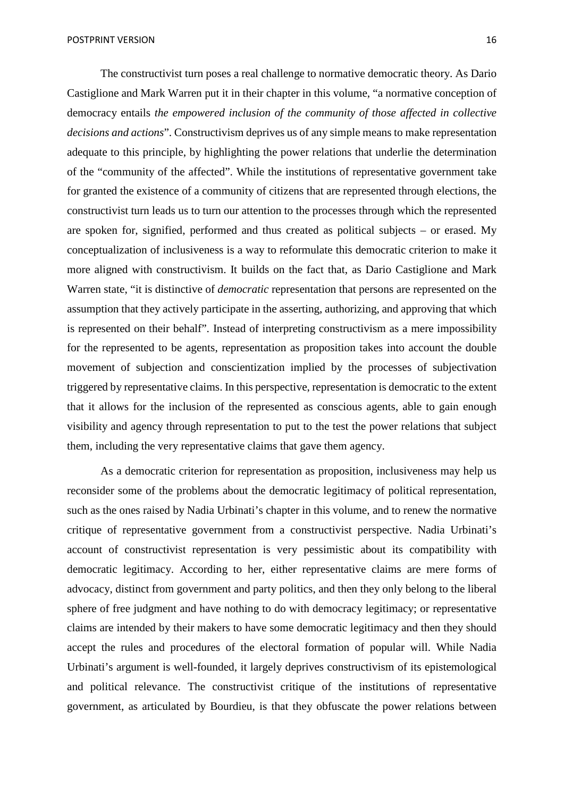The constructivist turn poses a real challenge to normative democratic theory. As Dario Castiglione and Mark Warren put it in their chapter in this volume, "a normative conception of democracy entails *the empowered inclusion of the community of those affected in collective decisions and actions*". Constructivism deprives us of any simple means to make representation adequate to this principle, by highlighting the power relations that underlie the determination of the "community of the affected". While the institutions of representative government take for granted the existence of a community of citizens that are represented through elections, the constructivist turn leads us to turn our attention to the processes through which the represented are spoken for, signified, performed and thus created as political subjects – or erased. My conceptualization of inclusiveness is a way to reformulate this democratic criterion to make it more aligned with constructivism. It builds on the fact that, as Dario Castiglione and Mark Warren state, "it is distinctive of *democratic* representation that persons are represented on the assumption that they actively participate in the asserting, authorizing, and approving that which is represented on their behalf". Instead of interpreting constructivism as a mere impossibility for the represented to be agents, representation as proposition takes into account the double movement of subjection and conscientization implied by the processes of subjectivation triggered by representative claims. In this perspective, representation is democratic to the extent that it allows for the inclusion of the represented as conscious agents, able to gain enough visibility and agency through representation to put to the test the power relations that subject them, including the very representative claims that gave them agency.

As a democratic criterion for representation as proposition, inclusiveness may help us reconsider some of the problems about the democratic legitimacy of political representation, such as the ones raised by Nadia Urbinati's chapter in this volume, and to renew the normative critique of representative government from a constructivist perspective. Nadia Urbinati's account of constructivist representation is very pessimistic about its compatibility with democratic legitimacy. According to her, either representative claims are mere forms of advocacy, distinct from government and party politics, and then they only belong to the liberal sphere of free judgment and have nothing to do with democracy legitimacy; or representative claims are intended by their makers to have some democratic legitimacy and then they should accept the rules and procedures of the electoral formation of popular will. While Nadia Urbinati's argument is well-founded, it largely deprives constructivism of its epistemological and political relevance. The constructivist critique of the institutions of representative government, as articulated by Bourdieu, is that they obfuscate the power relations between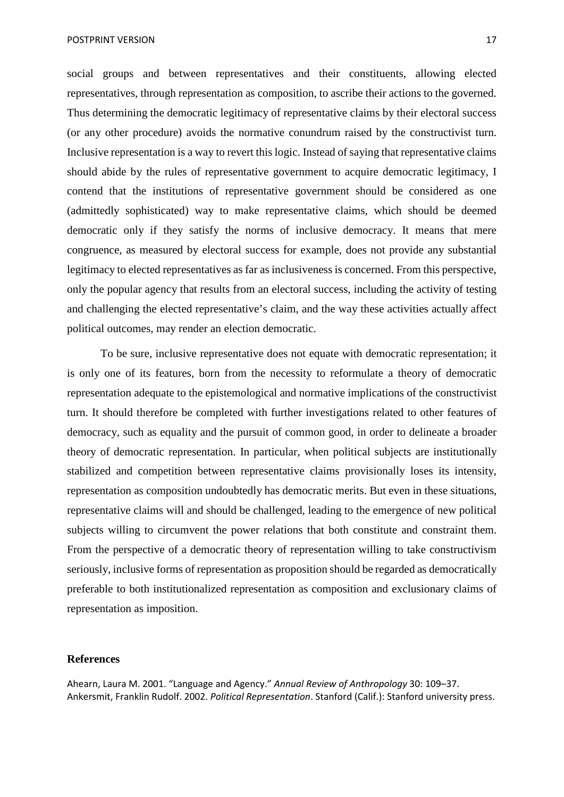social groups and between representatives and their constituents, allowing elected representatives, through representation as composition, to ascribe their actions to the governed. Thus determining the democratic legitimacy of representative claims by their electoral success (or any other procedure) avoids the normative conundrum raised by the constructivist turn. Inclusive representation is a way to revert this logic. Instead of saying that representative claims should abide by the rules of representative government to acquire democratic legitimacy, I contend that the institutions of representative government should be considered as one (admittedly sophisticated) way to make representative claims, which should be deemed democratic only if they satisfy the norms of inclusive democracy. It means that mere congruence, as measured by electoral success for example, does not provide any substantial legitimacy to elected representatives as far as inclusiveness is concerned. From this perspective, only the popular agency that results from an electoral success, including the activity of testing and challenging the elected representative's claim, and the way these activities actually affect political outcomes, may render an election democratic.

To be sure, inclusive representative does not equate with democratic representation; it is only one of its features, born from the necessity to reformulate a theory of democratic representation adequate to the epistemological and normative implications of the constructivist turn. It should therefore be completed with further investigations related to other features of democracy, such as equality and the pursuit of common good, in order to delineate a broader theory of democratic representation. In particular, when political subjects are institutionally stabilized and competition between representative claims provisionally loses its intensity, representation as composition undoubtedly has democratic merits. But even in these situations, representative claims will and should be challenged, leading to the emergence of new political subjects willing to circumvent the power relations that both constitute and constraint them. From the perspective of a democratic theory of representation willing to take constructivism seriously, inclusive forms of representation as proposition should be regarded as democratically preferable to both institutionalized representation as composition and exclusionary claims of representation as imposition.

#### **References**

Ahearn, Laura M. 2001. "Language and Agency." *Annual Review of Anthropology* 30: 109–37. Ankersmit, Franklin Rudolf. 2002. *Political Representation*. Stanford (Calif.): Stanford university press.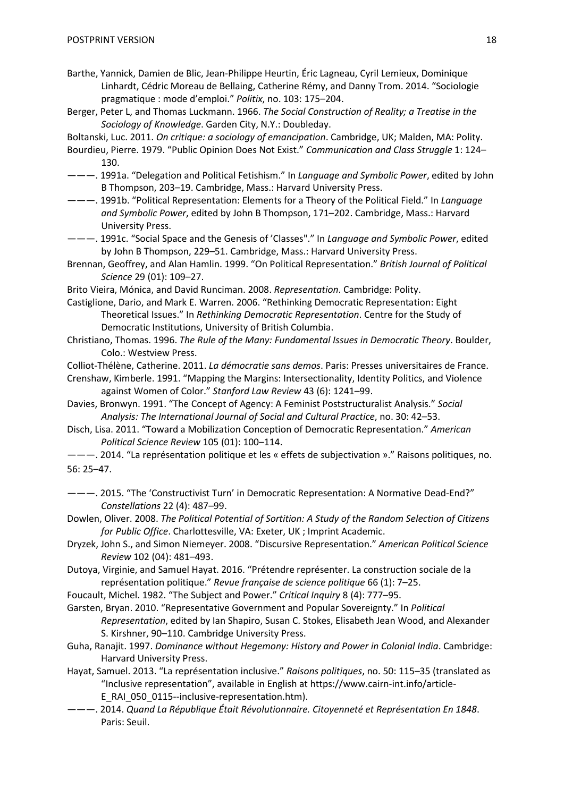- Barthe, Yannick, Damien de Blic, Jean-Philippe Heurtin, Éric Lagneau, Cyril Lemieux, Dominique Linhardt, Cédric Moreau de Bellaing, Catherine Rémy, and Danny Trom. 2014. "Sociologie pragmatique : mode d'emploi." *Politix*, no. 103: 175–204.
- Berger, Peter L, and Thomas Luckmann. 1966. *The Social Construction of Reality; a Treatise in the Sociology of Knowledge*. Garden City, N.Y.: Doubleday.
- Boltanski, Luc. 2011. *On critique: a sociology of emancipation*. Cambridge, UK; Malden, MA: Polity.
- Bourdieu, Pierre. 1979. "Public Opinion Does Not Exist." *Communication and Class Struggle* 1: 124– 130.
- ———. 1991a. "Delegation and Political Fetishism." In *Language and Symbolic Power*, edited by John B Thompson, 203–19. Cambridge, Mass.: Harvard University Press.
- ———. 1991b. "Political Representation: Elements for a Theory of the Political Field." In *Language and Symbolic Power*, edited by John B Thompson, 171–202. Cambridge, Mass.: Harvard University Press.
- ———. 1991c. "Social Space and the Genesis of 'Classes"." In *Language and Symbolic Power*, edited by John B Thompson, 229–51. Cambridge, Mass.: Harvard University Press.
- Brennan, Geoffrey, and Alan Hamlin. 1999. "On Political Representation." *British Journal of Political Science* 29 (01): 109–27.
- Brito Vieira, Mónica, and David Runciman. 2008. *Representation*. Cambridge: Polity.
- Castiglione, Dario, and Mark E. Warren. 2006. "Rethinking Democratic Representation: Eight Theoretical Issues." In *Rethinking Democratic Representation*. Centre for the Study of Democratic Institutions, University of British Columbia.
- Christiano, Thomas. 1996. *The Rule of the Many: Fundamental Issues in Democratic Theory*. Boulder, Colo.: Westview Press.

Colliot-Thélène, Catherine. 2011. *La démocratie sans demos*. Paris: Presses universitaires de France.

Crenshaw, Kimberle. 1991. "Mapping the Margins: Intersectionality, Identity Politics, and Violence against Women of Color." *Stanford Law Review* 43 (6): 1241–99.

- Davies, Bronwyn. 1991. "The Concept of Agency: A Feminist Poststructuralist Analysis." *Social Analysis: The International Journal of Social and Cultural Practice*, no. 30: 42–53.
- Disch, Lisa. 2011. "Toward a Mobilization Conception of Democratic Representation." *American Political Science Review* 105 (01): 100–114.
- ———. 2014. "La représentation politique et les « effets de subjectivation »." Raisons politiques, no. 56: 25–47.
- ———. 2015. "The 'Constructivist Turn' in Democratic Representation: A Normative Dead-End?" *Constellations* 22 (4): 487–99.
- Dowlen, Oliver. 2008. *The Political Potential of Sortition: A Study of the Random Selection of Citizens for Public Office*. Charlottesville, VA: Exeter, UK ; Imprint Academic.
- Dryzek, John S., and Simon Niemeyer. 2008. "Discursive Representation." *American Political Science Review* 102 (04): 481–493.
- Dutoya, Virginie, and Samuel Hayat. 2016. "Prétendre représenter. La construction sociale de la représentation politique." *Revue française de science politique* 66 (1): 7–25.
- Foucault, Michel. 1982. "The Subject and Power." *Critical Inquiry* 8 (4): 777–95.

Garsten, Bryan. 2010. "Representative Government and Popular Sovereignty." In *Political Representation*, edited by Ian Shapiro, Susan C. Stokes, Elisabeth Jean Wood, and Alexander S. Kirshner, 90–110. Cambridge University Press.

- Guha, Ranajit. 1997. *Dominance without Hegemony: History and Power in Colonial India*. Cambridge: Harvard University Press.
- Hayat, Samuel. 2013. "La représentation inclusive." *Raisons politiques*, no. 50: 115–35 (translated as "Inclusive representation", available in English at https://www.cairn-int.info/article-E\_RAI\_050\_0115--inclusive-representation.htm).
- ———. 2014. *Quand La République Était Révolutionnaire. Citoyenneté et Représentation En 1848*. Paris: Seuil.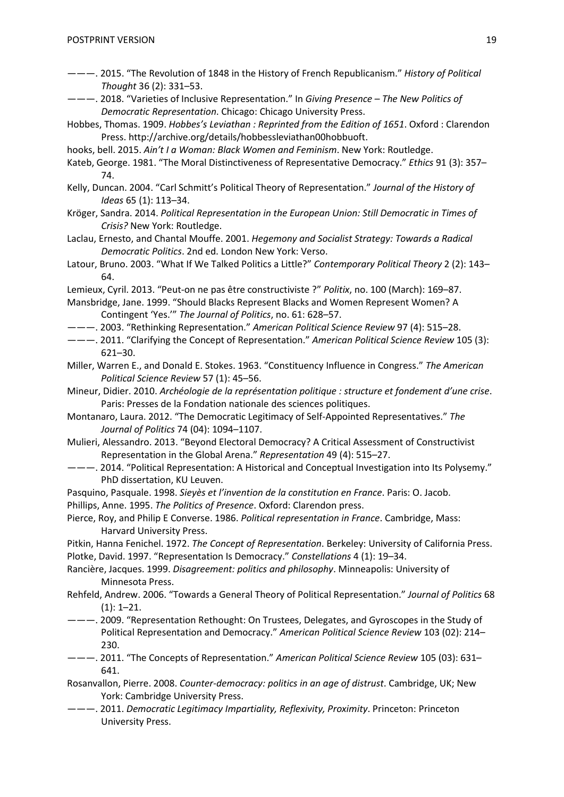- ———. 2015. "The Revolution of 1848 in the History of French Republicanism." *History of Political Thought* 36 (2): 331–53.
- ———. 2018. "Varieties of Inclusive Representation." In *Giving Presence – The New Politics of Democratic Representation*. Chicago: Chicago University Press.
- Hobbes, Thomas. 1909. *Hobbes's Leviathan : Reprinted from the Edition of 1651*. Oxford : Clarendon Press. http://archive.org/details/hobbessleviathan00hobbuoft.
- hooks, bell. 2015. *Ain't I a Woman: Black Women and Feminism*. New York: Routledge.
- Kateb, George. 1981. "The Moral Distinctiveness of Representative Democracy." *Ethics* 91 (3): 357– 74.
- Kelly, Duncan. 2004. "Carl Schmitt's Political Theory of Representation." *Journal of the History of Ideas* 65 (1): 113–34.
- Kröger, Sandra. 2014. *Political Representation in the European Union: Still Democratic in Times of Crisis?* New York: Routledge.

Laclau, Ernesto, and Chantal Mouffe. 2001. *Hegemony and Socialist Strategy: Towards a Radical Democratic Politics*. 2nd ed. London New York: Verso.

- Latour, Bruno. 2003. "What If We Talked Politics a Little?" *Contemporary Political Theory* 2 (2): 143– 64.
- Lemieux, Cyril. 2013. "Peut-on ne pas être constructiviste ?" *Politix*, no. 100 (March): 169–87.
- Mansbridge, Jane. 1999. "Should Blacks Represent Blacks and Women Represent Women? A Contingent 'Yes.'" *The Journal of Politics*, no. 61: 628–57.
- ———. 2003. "Rethinking Representation." *American Political Science Review* 97 (4): 515–28.
- ———. 2011. "Clarifying the Concept of Representation." *American Political Science Review* 105 (3): 621–30.
- Miller, Warren E., and Donald E. Stokes. 1963. "Constituency Influence in Congress." *The American Political Science Review* 57 (1): 45–56.
- Mineur, Didier. 2010. *Archéologie de la représentation politique : structure et fondement d'une crise*. Paris: Presses de la Fondation nationale des sciences politiques.
- Montanaro, Laura. 2012. "The Democratic Legitimacy of Self-Appointed Representatives." *The Journal of Politics* 74 (04): 1094–1107.
- Mulieri, Alessandro. 2013. "Beyond Electoral Democracy? A Critical Assessment of Constructivist Representation in the Global Arena." *Representation* 49 (4): 515–27.
- ———. 2014. "Political Representation: A Historical and Conceptual Investigation into Its Polysemy." PhD dissertation, KU Leuven.
- Pasquino, Pasquale. 1998. *Sieyès et l'invention de la constitution en France*. Paris: O. Jacob.
- Phillips, Anne. 1995. *The Politics of Presence*. Oxford: Clarendon press.
- Pierce, Roy, and Philip E Converse. 1986. *Political representation in France*. Cambridge, Mass: Harvard University Press.
- Pitkin, Hanna Fenichel. 1972. *The Concept of Representation*. Berkeley: University of California Press. Plotke, David. 1997. "Representation Is Democracy." *Constellations* 4 (1): 19–34.
- Rancière, Jacques. 1999. *Disagreement: politics and philosophy*. Minneapolis: University of Minnesota Press.
- Rehfeld, Andrew. 2006. "Towards a General Theory of Political Representation." *Journal of Politics* 68  $(1): 1-21.$
- ———. 2009. "Representation Rethought: On Trustees, Delegates, and Gyroscopes in the Study of Political Representation and Democracy." *American Political Science Review* 103 (02): 214– 230.
- ———. 2011. "The Concepts of Representation." *American Political Science Review* 105 (03): 631– 641.
- Rosanvallon, Pierre. 2008. *Counter-democracy: politics in an age of distrust*. Cambridge, UK; New York: Cambridge University Press.
- ———. 2011. *Democratic Legitimacy Impartiality, Reflexivity, Proximity*. Princeton: Princeton University Press.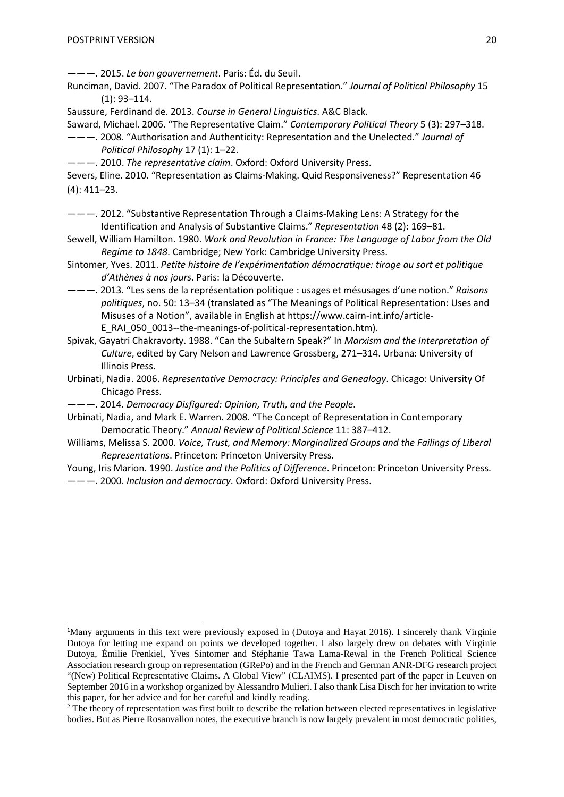$\overline{a}$ 

———. 2015. *Le bon gouvernement*. Paris: Éd. du Seuil.

- Runciman, David. 2007. "The Paradox of Political Representation." *Journal of Political Philosophy* 15 (1): 93–114.
- Saussure, Ferdinand de. 2013. *Course in General Linguistics*. A&C Black.

Saward, Michael. 2006. "The Representative Claim." *Contemporary Political Theory* 5 (3): 297–318.

- ———. 2008. "Authorisation and Authenticity: Representation and the Unelected." *Journal of Political Philosophy* 17 (1): 1–22.
- ———. 2010. *The representative claim*. Oxford: Oxford University Press.

Severs, Eline. 2010. "Representation as Claims-Making. Quid Responsiveness?" Representation 46 (4): 411–23.

- ———. 2012. "Substantive Representation Through a Claims-Making Lens: A Strategy for the Identification and Analysis of Substantive Claims." *Representation* 48 (2): 169–81.
- Sewell, William Hamilton. 1980. *Work and Revolution in France: The Language of Labor from the Old Regime to 1848*. Cambridge; New York: Cambridge University Press.
- Sintomer, Yves. 2011. *Petite histoire de l'expérimentation démocratique: tirage au sort et politique d'Athènes à nos jours*. Paris: la Découverte.
- ———. 2013. "Les sens de la représentation politique : usages et mésusages d'une notion." *Raisons politiques*, no. 50: 13–34 (translated as "The Meanings of Political Representation: Uses and Misuses of a Notion", available in English at https://www.cairn-int.info/article-E\_RAI\_050\_0013--the-meanings-of-political-representation.htm).
- Spivak, Gayatri Chakravorty. 1988. "Can the Subaltern Speak?" In *Marxism and the Interpretation of Culture*, edited by Cary Nelson and Lawrence Grossberg, 271–314. Urbana: University of Illinois Press.
- Urbinati, Nadia. 2006. *Representative Democracy: Principles and Genealogy*. Chicago: University Of Chicago Press.
- ———. 2014. *Democracy Disfigured: Opinion, Truth, and the People*.
- Urbinati, Nadia, and Mark E. Warren. 2008. "The Concept of Representation in Contemporary Democratic Theory." *Annual Review of Political Science* 11: 387–412.
- Williams, Melissa S. 2000. *Voice, Trust, and Memory: Marginalized Groups and the Failings of Liberal Representations*. Princeton: Princeton University Press.
- Young, Iris Marion. 1990. *Justice and the Politics of Difference*. Princeton: Princeton University Press. ———. 2000. *Inclusion and democracy*. Oxford: Oxford University Press.

<span id="page-20-0"></span><sup>&</sup>lt;sup>1</sup>Many arguments in this text were previously exposed in (Dutoya and Hayat 2016). I sincerely thank Virginie Dutoya for letting me expand on points we developed together. I also largely drew on debates with Virginie Dutoya, Émilie Frenkiel, Yves Sintomer and Stéphanie Tawa Lama-Rewal in the French Political Science Association research group on representation (GRePo) and in the French and German ANR-DFG research project "(New) Political Representative Claims. A Global View" (CLAIMS). I presented part of the paper in Leuven on September 2016 in a workshop organized by Alessandro Mulieri. I also thank Lisa Disch for her invitation to write this paper, for her advice and for her careful and kindly reading.

<sup>&</sup>lt;sup>2</sup> The theory of representation was first built to describe the relation between elected representatives in legislative bodies. But as Pierre Rosanvallon notes, the executive branch is now largely prevalent in most democratic polities,